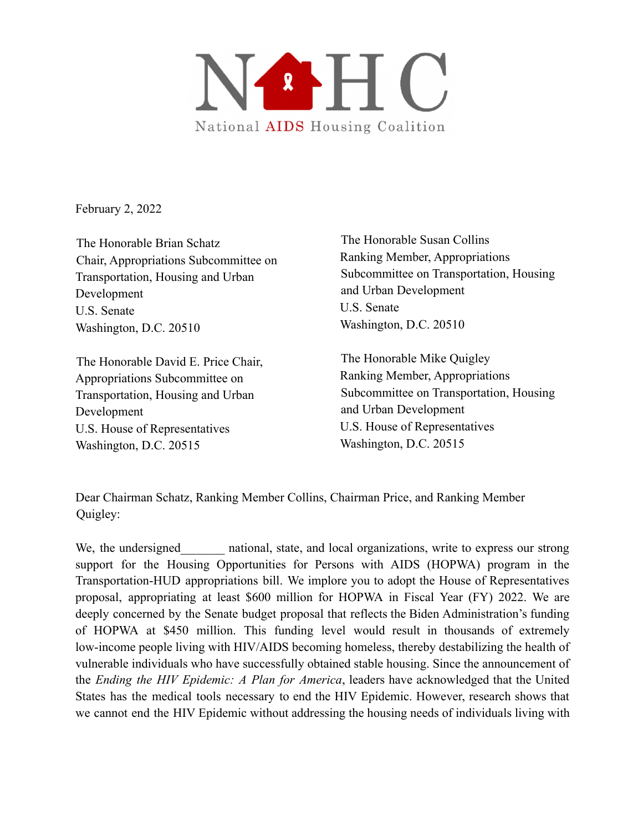

February 2, 2022

The Honorable Brian Schatz Chair, Appropriations Subcommittee on Transportation, Housing and Urban Development U.S. Senate Washington, D.C. 20510

The Honorable David E. Price Chair, Appropriations Subcommittee on Transportation, Housing and Urban Development U.S. House of Representatives Washington, D.C. 20515

The Honorable Susan Collins Ranking Member, Appropriations Subcommittee on Transportation, Housing and Urban Development U.S. Senate Washington, D.C. 20510

The Honorable Mike Quigley Ranking Member, Appropriations Subcommittee on Transportation, Housing and Urban Development U.S. House of Representatives Washington, D.C. 20515

Dear Chairman Schatz, Ranking Member Collins, Chairman Price, and Ranking Member Quigley:

We, the undersigned a mational, state, and local organizations, write to express our strong support for the Housing Opportunities for Persons with AIDS (HOPWA) program in the Transportation-HUD appropriations bill. We implore you to adopt the House of Representatives proposal, appropriating at least \$600 million for HOPWA in Fiscal Year (FY) 2022. We are deeply concerned by the Senate budget proposal that reflects the Biden Administration's funding of HOPWA at \$450 million. This funding level would result in thousands of extremely low-income people living with HIV/AIDS becoming homeless, thereby destabilizing the health of vulnerable individuals who have successfully obtained stable housing. Since the announcement of the *Ending the HIV Epidemic: A Plan for America*, leaders have acknowledged that the United States has the medical tools necessary to end the HIV Epidemic. However, research shows that we cannot end the HIV Epidemic without addressing the housing needs of individuals living with